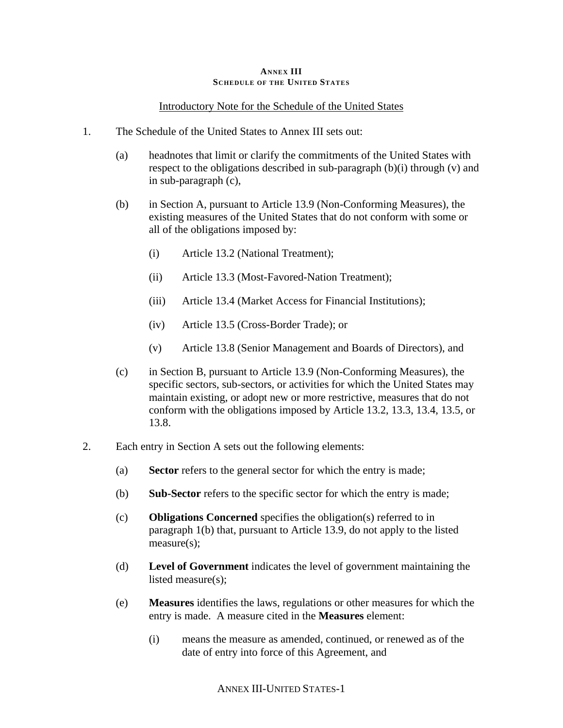#### **ANNEX III SCHEDULE OF THE UNITED STATES**

### Introductory Note for the Schedule of the United States

- 1. The Schedule of the United States to Annex III sets out:
	- (a) headnotes that limit or clarify the commitments of the United States with respect to the obligations described in sub-paragraph (b)(i) through (v) and in sub-paragraph (c),
	- (b) in Section A, pursuant to Article 13.9 (Non-Conforming Measures), the existing measures of the United States that do not conform with some or all of the obligations imposed by:
		- (i) Article 13.2 (National Treatment);
		- (ii) Article 13.3 (Most-Favored-Nation Treatment);
		- (iii) Article 13.4 (Market Access for Financial Institutions);
		- (iv) Article 13.5 (Cross-Border Trade); or
		- (v) Article 13.8 (Senior Management and Boards of Directors), and
	- (c) in Section B, pursuant to Article 13.9 (Non-Conforming Measures), the specific sectors, sub-sectors, or activities for which the United States may maintain existing, or adopt new or more restrictive, measures that do not conform with the obligations imposed by Article 13.2, 13.3, 13.4, 13.5, or 13.8.
- 2. Each entry in Section A sets out the following elements:
	- (a) **Sector** refers to the general sector for which the entry is made;
	- (b) **Sub-Sector** refers to the specific sector for which the entry is made;
	- (c) **Obligations Concerned** specifies the obligation(s) referred to in paragraph 1(b) that, pursuant to Article 13.9, do not apply to the listed measure(s);
	- (d) **Level of Government** indicates the level of government maintaining the listed measure(s);
	- (e) **Measures** identifies the laws, regulations or other measures for which the entry is made. A measure cited in the **Measures** element:
		- (i) means the measure as amended, continued, or renewed as of the date of entry into force of this Agreement, and

ANNEX III-UNITED STATES-1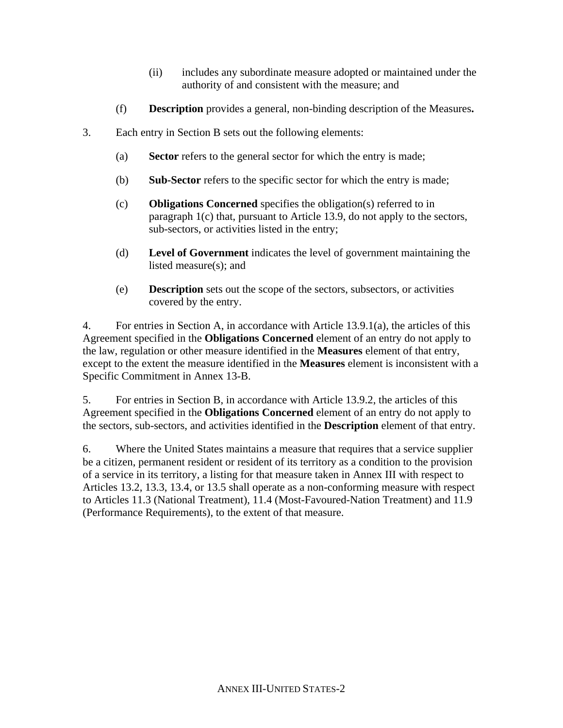- (ii) includes any subordinate measure adopted or maintained under the authority of and consistent with the measure; and
- (f) **Description** provides a general, non-binding description of the Measures**.**
- 3. Each entry in Section B sets out the following elements:
	- (a) **Sector** refers to the general sector for which the entry is made;
	- (b) **Sub-Sector** refers to the specific sector for which the entry is made;
	- (c) **Obligations Concerned** specifies the obligation(s) referred to in paragraph 1(c) that, pursuant to Article 13.9, do not apply to the sectors, sub-sectors, or activities listed in the entry;
	- (d) **Level of Government** indicates the level of government maintaining the listed measure(s); and
	- (e) **Description** sets out the scope of the sectors, subsectors, or activities covered by the entry.

4. For entries in Section A, in accordance with Article 13.9.1(a), the articles of this Agreement specified in the **Obligations Concerned** element of an entry do not apply to the law, regulation or other measure identified in the **Measures** element of that entry, except to the extent the measure identified in the **Measures** element is inconsistent with a Specific Commitment in Annex 13-B.

5. For entries in Section B, in accordance with Article 13.9.2, the articles of this Agreement specified in the **Obligations Concerned** element of an entry do not apply to the sectors, sub-sectors, and activities identified in the **Description** element of that entry.

6. Where the United States maintains a measure that requires that a service supplier be a citizen, permanent resident or resident of its territory as a condition to the provision of a service in its territory, a listing for that measure taken in Annex III with respect to Articles 13.2, 13.3, 13.4, or 13.5 shall operate as a non-conforming measure with respect to Articles 11.3 (National Treatment), 11.4 (Most-Favoured-Nation Treatment) and 11.9 (Performance Requirements), to the extent of that measure.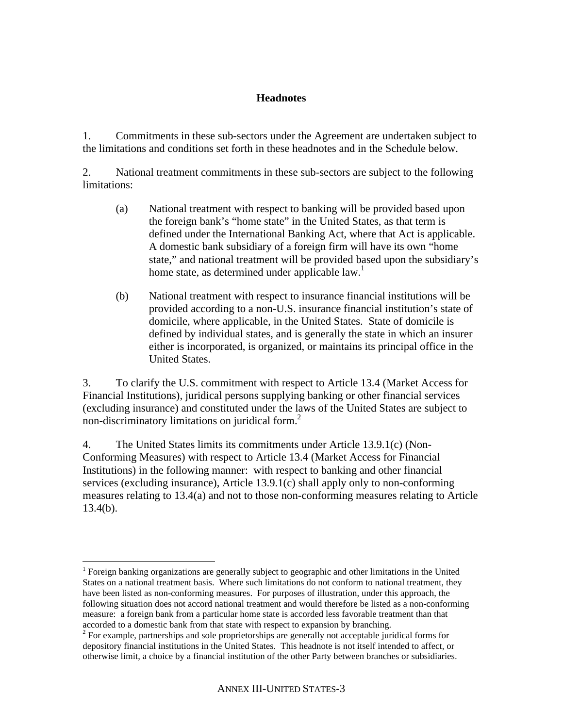# **Headnotes**

1. Commitments in these sub-sectors under the Agreement are undertaken subject to the limitations and conditions set forth in these headnotes and in the Schedule below.

2. National treatment commitments in these sub-sectors are subject to the following limitations:

- (a) National treatment with respect to banking will be provided based upon the foreign bank's "home state" in the United States, as that term is defined under the International Banking Act, where that Act is applicable. A domestic bank subsidiary of a foreign firm will have its own "home state," and national treatment will be provided based upon the subsidiary's home state, as determined under applicable law.<sup>1</sup>
- (b) National treatment with respect to insurance financial institutions will be provided according to a non-U.S. insurance financial institution's state of domicile, where applicable, in the United States. State of domicile is defined by individual states, and is generally the state in which an insurer either is incorporated, is organized, or maintains its principal office in the United States.

3. To clarify the U.S. commitment with respect to Article 13.4 (Market Access for Financial Institutions), juridical persons supplying banking or other financial services (excluding insurance) and constituted under the laws of the United States are subject to non-discriminatory limitations on juridical form. $<sup>2</sup>$ </sup>

4. The United States limits its commitments under Article 13.9.1(c) (Non-Conforming Measures) with respect to Article 13.4 (Market Access for Financial Institutions) in the following manner: with respect to banking and other financial services (excluding insurance), Article 13.9.1(c) shall apply only to non-conforming measures relating to 13.4(a) and not to those non-conforming measures relating to Article 13.4(b).

1

<sup>&</sup>lt;sup>1</sup> Foreign banking organizations are generally subject to geographic and other limitations in the United States on a national treatment basis. Where such limitations do not conform to national treatment, they have been listed as non-conforming measures. For purposes of illustration, under this approach, the following situation does not accord national treatment and would therefore be listed as a non-conforming measure: a foreign bank from a particular home state is accorded less favorable treatment than that accorded to a domestic bank from that state with respect to expansion by branching.

 $2^{2}$  For example, partnerships and sole proprietorships are generally not acceptable juridical forms for depository financial institutions in the United States. This headnote is not itself intended to affect, or otherwise limit, a choice by a financial institution of the other Party between branches or subsidiaries.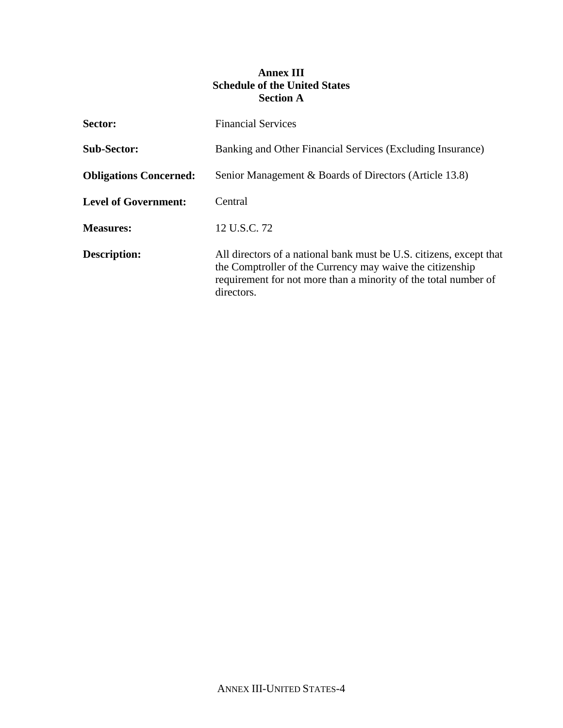# **Annex III Schedule of the United States Section A**

| Sector:                       | <b>Financial Services</b>                                                                                                                                                                                         |
|-------------------------------|-------------------------------------------------------------------------------------------------------------------------------------------------------------------------------------------------------------------|
| <b>Sub-Sector:</b>            | Banking and Other Financial Services (Excluding Insurance)                                                                                                                                                        |
| <b>Obligations Concerned:</b> | Senior Management & Boards of Directors (Article 13.8)                                                                                                                                                            |
| <b>Level of Government:</b>   | Central                                                                                                                                                                                                           |
| <b>Measures:</b>              | 12 U.S.C. 72                                                                                                                                                                                                      |
| Description:                  | All directors of a national bank must be U.S. citizens, except that<br>the Comptroller of the Currency may waive the citizenship<br>requirement for not more than a minority of the total number of<br>directors. |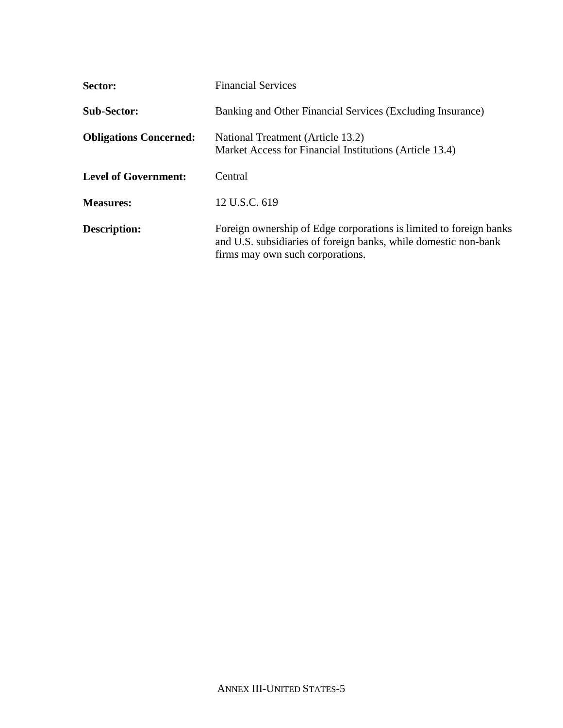| Sector:                       | <b>Financial Services</b>                                                                                                                                                 |
|-------------------------------|---------------------------------------------------------------------------------------------------------------------------------------------------------------------------|
| <b>Sub-Sector:</b>            | Banking and Other Financial Services (Excluding Insurance)                                                                                                                |
| <b>Obligations Concerned:</b> | National Treatment (Article 13.2)<br>Market Access for Financial Institutions (Article 13.4)                                                                              |
| <b>Level of Government:</b>   | Central                                                                                                                                                                   |
| <b>Measures:</b>              | 12 U.S.C. 619                                                                                                                                                             |
| Description:                  | Foreign ownership of Edge corporations is limited to foreign banks<br>and U.S. subsidiaries of foreign banks, while domestic non-bank<br>firms may own such corporations. |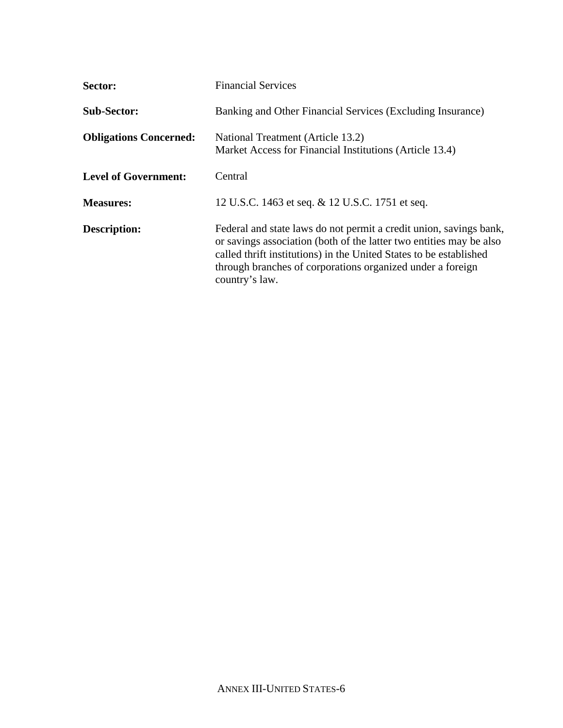| Sector:                       | <b>Financial Services</b>                                                                                                                                                                                                                                                                       |
|-------------------------------|-------------------------------------------------------------------------------------------------------------------------------------------------------------------------------------------------------------------------------------------------------------------------------------------------|
| <b>Sub-Sector:</b>            | Banking and Other Financial Services (Excluding Insurance)                                                                                                                                                                                                                                      |
| <b>Obligations Concerned:</b> | National Treatment (Article 13.2)<br>Market Access for Financial Institutions (Article 13.4)                                                                                                                                                                                                    |
| <b>Level of Government:</b>   | Central                                                                                                                                                                                                                                                                                         |
| <b>Measures:</b>              | 12 U.S.C. 1463 et seq. & 12 U.S.C. 1751 et seq.                                                                                                                                                                                                                                                 |
| <b>Description:</b>           | Federal and state laws do not permit a credit union, savings bank,<br>or savings association (both of the latter two entities may be also<br>called thrift institutions) in the United States to be established<br>through branches of corporations organized under a foreign<br>country's law. |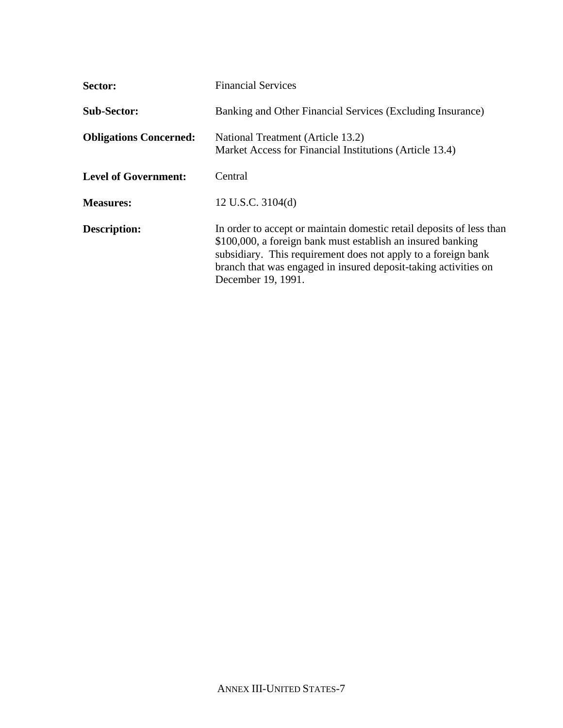| Sector:                       | <b>Financial Services</b>                                                                                                                                                                                                                                                                     |
|-------------------------------|-----------------------------------------------------------------------------------------------------------------------------------------------------------------------------------------------------------------------------------------------------------------------------------------------|
| <b>Sub-Sector:</b>            | Banking and Other Financial Services (Excluding Insurance)                                                                                                                                                                                                                                    |
| <b>Obligations Concerned:</b> | National Treatment (Article 13.2)<br>Market Access for Financial Institutions (Article 13.4)                                                                                                                                                                                                  |
| <b>Level of Government:</b>   | Central                                                                                                                                                                                                                                                                                       |
| <b>Measures:</b>              | 12 U.S.C. $3104(d)$                                                                                                                                                                                                                                                                           |
| <b>Description:</b>           | In order to accept or maintain domestic retail deposits of less than<br>\$100,000, a foreign bank must establish an insured banking<br>subsidiary. This requirement does not apply to a foreign bank<br>branch that was engaged in insured deposit-taking activities on<br>December 19, 1991. |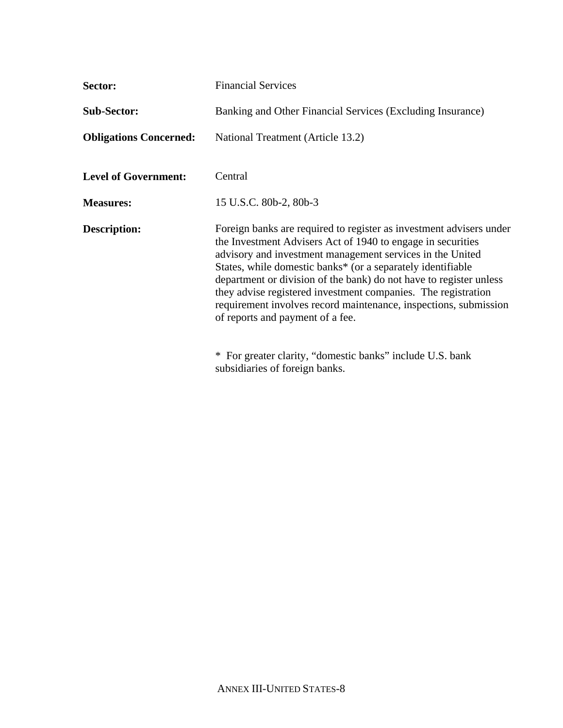| Sector:                       | <b>Financial Services</b>                                                                                                                                                                                                                                                                                                                                                                                                                                                                                                                                                  |
|-------------------------------|----------------------------------------------------------------------------------------------------------------------------------------------------------------------------------------------------------------------------------------------------------------------------------------------------------------------------------------------------------------------------------------------------------------------------------------------------------------------------------------------------------------------------------------------------------------------------|
| <b>Sub-Sector:</b>            | Banking and Other Financial Services (Excluding Insurance)                                                                                                                                                                                                                                                                                                                                                                                                                                                                                                                 |
| <b>Obligations Concerned:</b> | National Treatment (Article 13.2)                                                                                                                                                                                                                                                                                                                                                                                                                                                                                                                                          |
| <b>Level of Government:</b>   | Central                                                                                                                                                                                                                                                                                                                                                                                                                                                                                                                                                                    |
| <b>Measures:</b>              | 15 U.S.C. 80b-2, 80b-3                                                                                                                                                                                                                                                                                                                                                                                                                                                                                                                                                     |
| <b>Description:</b>           | Foreign banks are required to register as investment advisers under<br>the Investment Advisers Act of 1940 to engage in securities<br>advisory and investment management services in the United<br>States, while domestic banks* (or a separately identifiable<br>department or division of the bank) do not have to register unless<br>they advise registered investment companies. The registration<br>requirement involves record maintenance, inspections, submission<br>of reports and payment of a fee.<br>* For greater clarity, "domestic banks" include U.S. bank |
|                               | subsidiaries of foreign banks.                                                                                                                                                                                                                                                                                                                                                                                                                                                                                                                                             |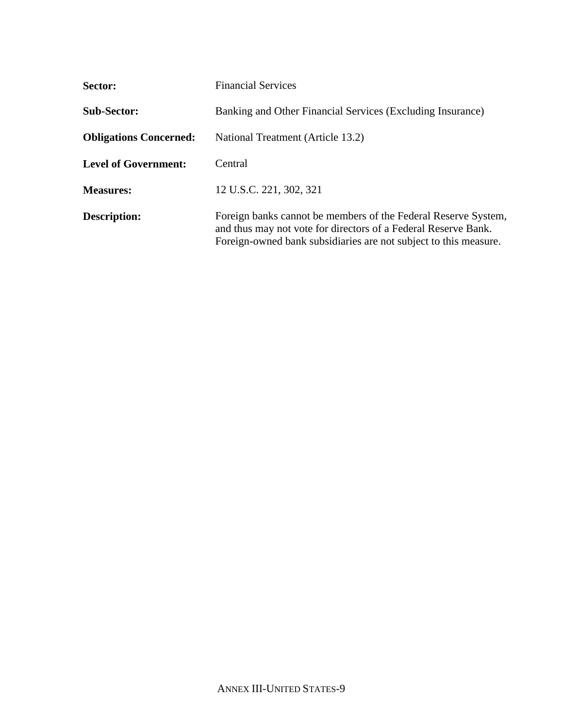| Sector:                       | <b>Financial Services</b>                                                                                                                                                                            |
|-------------------------------|------------------------------------------------------------------------------------------------------------------------------------------------------------------------------------------------------|
| <b>Sub-Sector:</b>            | Banking and Other Financial Services (Excluding Insurance)                                                                                                                                           |
| <b>Obligations Concerned:</b> | National Treatment (Article 13.2)                                                                                                                                                                    |
| <b>Level of Government:</b>   | Central                                                                                                                                                                                              |
| <b>Measures:</b>              | 12 U.S.C. 221, 302, 321                                                                                                                                                                              |
| Description:                  | Foreign banks cannot be members of the Federal Reserve System,<br>and thus may not vote for directors of a Federal Reserve Bank.<br>Foreign-owned bank subsidiaries are not subject to this measure. |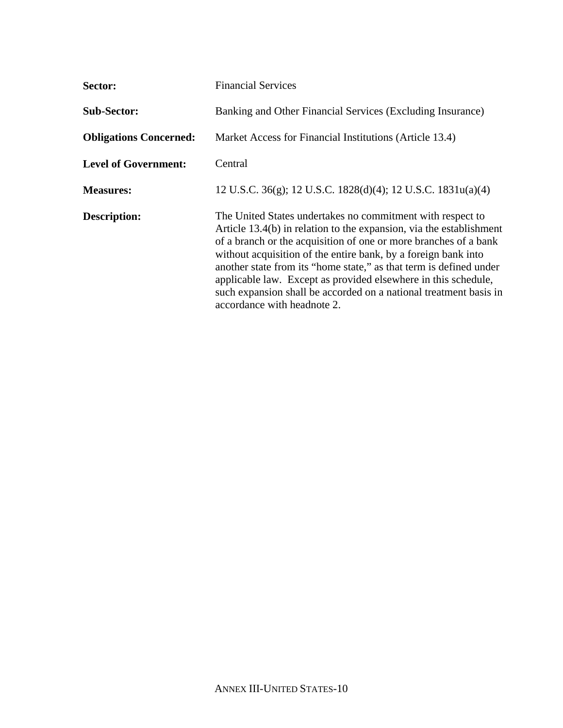| Sector:                       | <b>Financial Services</b>                                                                                                                                                                                                                                                                                                                                                                                                                                                                                           |
|-------------------------------|---------------------------------------------------------------------------------------------------------------------------------------------------------------------------------------------------------------------------------------------------------------------------------------------------------------------------------------------------------------------------------------------------------------------------------------------------------------------------------------------------------------------|
| <b>Sub-Sector:</b>            | Banking and Other Financial Services (Excluding Insurance)                                                                                                                                                                                                                                                                                                                                                                                                                                                          |
| <b>Obligations Concerned:</b> | Market Access for Financial Institutions (Article 13.4)                                                                                                                                                                                                                                                                                                                                                                                                                                                             |
| <b>Level of Government:</b>   | Central                                                                                                                                                                                                                                                                                                                                                                                                                                                                                                             |
| <b>Measures:</b>              | 12 U.S.C. 36(g); 12 U.S.C. 1828(d)(4); 12 U.S.C. 1831u(a)(4)                                                                                                                                                                                                                                                                                                                                                                                                                                                        |
| <b>Description:</b>           | The United States undertakes no commitment with respect to<br>Article 13.4(b) in relation to the expansion, via the establishment<br>of a branch or the acquisition of one or more branches of a bank<br>without acquisition of the entire bank, by a foreign bank into<br>another state from its "home state," as that term is defined under<br>applicable law. Except as provided elsewhere in this schedule,<br>such expansion shall be accorded on a national treatment basis in<br>accordance with headnote 2. |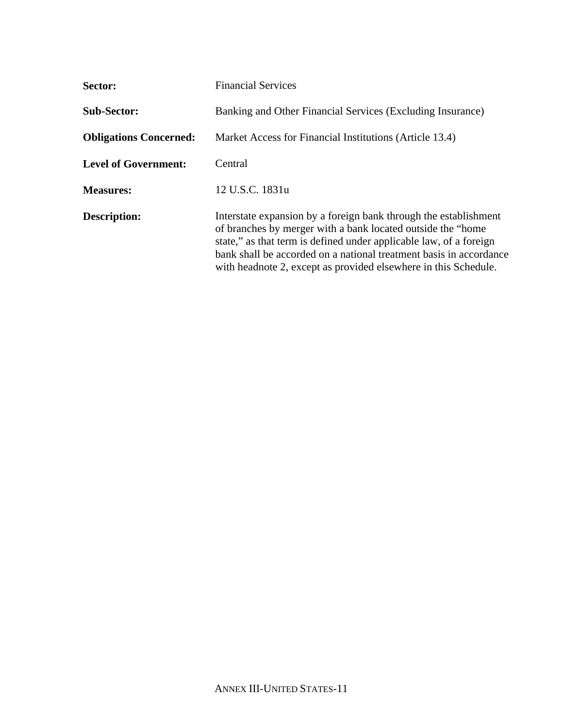| Sector:                       | <b>Financial Services</b>                                                                                                                                                                                                                                                                                                                       |
|-------------------------------|-------------------------------------------------------------------------------------------------------------------------------------------------------------------------------------------------------------------------------------------------------------------------------------------------------------------------------------------------|
| <b>Sub-Sector:</b>            | Banking and Other Financial Services (Excluding Insurance)                                                                                                                                                                                                                                                                                      |
| <b>Obligations Concerned:</b> | Market Access for Financial Institutions (Article 13.4)                                                                                                                                                                                                                                                                                         |
| <b>Level of Government:</b>   | Central                                                                                                                                                                                                                                                                                                                                         |
| <b>Measures:</b>              | 12 U.S.C. 1831u                                                                                                                                                                                                                                                                                                                                 |
| <b>Description:</b>           | Interstate expansion by a foreign bank through the establishment<br>of branches by merger with a bank located outside the "home"<br>state," as that term is defined under applicable law, of a foreign<br>bank shall be accorded on a national treatment basis in accordance<br>with headnote 2, except as provided elsewhere in this Schedule. |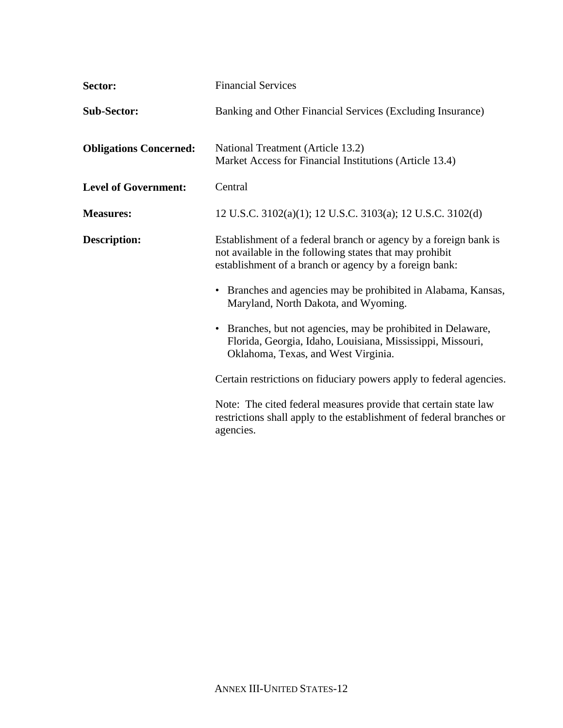| Sector:                       | <b>Financial Services</b>                                                                                                                                                             |
|-------------------------------|---------------------------------------------------------------------------------------------------------------------------------------------------------------------------------------|
| <b>Sub-Sector:</b>            | Banking and Other Financial Services (Excluding Insurance)                                                                                                                            |
| <b>Obligations Concerned:</b> | National Treatment (Article 13.2)<br>Market Access for Financial Institutions (Article 13.4)                                                                                          |
| <b>Level of Government:</b>   | Central                                                                                                                                                                               |
| <b>Measures:</b>              | 12 U.S.C. 3102(a)(1); 12 U.S.C. 3103(a); 12 U.S.C. 3102(d)                                                                                                                            |
| <b>Description:</b>           | Establishment of a federal branch or agency by a foreign bank is<br>not available in the following states that may prohibit<br>establishment of a branch or agency by a foreign bank: |
|                               | • Branches and agencies may be prohibited in Alabama, Kansas,<br>Maryland, North Dakota, and Wyoming.                                                                                 |
|                               | • Branches, but not agencies, may be prohibited in Delaware,<br>Florida, Georgia, Idaho, Louisiana, Mississippi, Missouri,<br>Oklahoma, Texas, and West Virginia.                     |
|                               | Certain restrictions on fiduciary powers apply to federal agencies.                                                                                                                   |
|                               | Note: The cited federal measures provide that certain state law<br>restrictions shall apply to the establishment of federal branches or<br>agencies.                                  |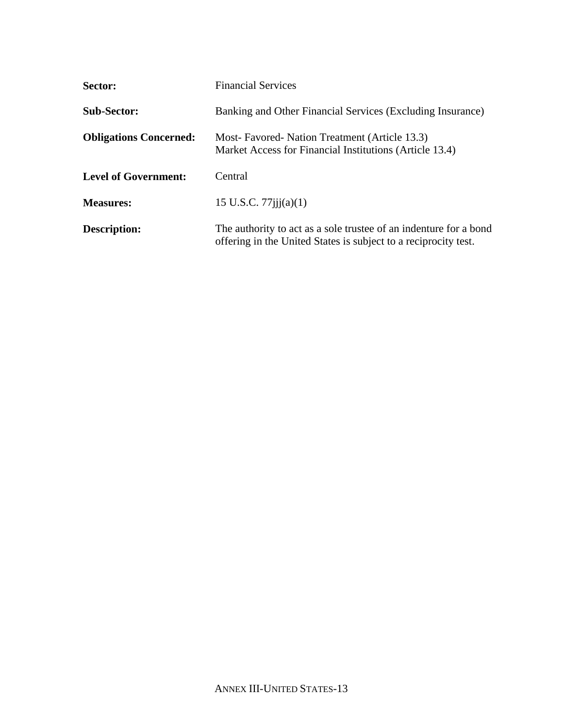| Sector:                       | <b>Financial Services</b>                                                                                                            |
|-------------------------------|--------------------------------------------------------------------------------------------------------------------------------------|
| <b>Sub-Sector:</b>            | Banking and Other Financial Services (Excluding Insurance)                                                                           |
| <b>Obligations Concerned:</b> | Most-Favored-Nation Treatment (Article 13.3)<br>Market Access for Financial Institutions (Article 13.4)                              |
| <b>Level of Government:</b>   | Central                                                                                                                              |
| <b>Measures:</b>              | 15 U.S.C. $77$ iji $(a)(1)$                                                                                                          |
| Description:                  | The authority to act as a sole trustee of an indenture for a bond<br>offering in the United States is subject to a reciprocity test. |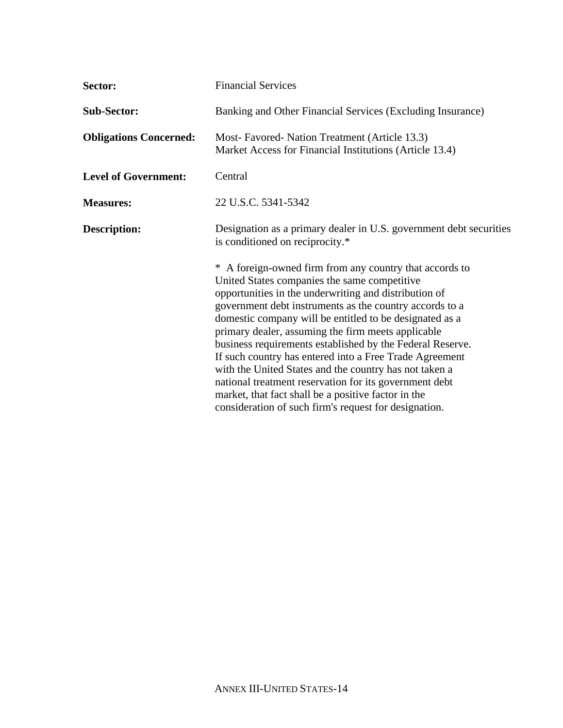| Sector:                       | <b>Financial Services</b>                                                                                                                                                                                                                                                                                                                                                                                                                                                                                                                                                                                                                                                                                |
|-------------------------------|----------------------------------------------------------------------------------------------------------------------------------------------------------------------------------------------------------------------------------------------------------------------------------------------------------------------------------------------------------------------------------------------------------------------------------------------------------------------------------------------------------------------------------------------------------------------------------------------------------------------------------------------------------------------------------------------------------|
| <b>Sub-Sector:</b>            | Banking and Other Financial Services (Excluding Insurance)                                                                                                                                                                                                                                                                                                                                                                                                                                                                                                                                                                                                                                               |
| <b>Obligations Concerned:</b> | Most-Favored-Nation Treatment (Article 13.3)<br>Market Access for Financial Institutions (Article 13.4)                                                                                                                                                                                                                                                                                                                                                                                                                                                                                                                                                                                                  |
| <b>Level of Government:</b>   | Central                                                                                                                                                                                                                                                                                                                                                                                                                                                                                                                                                                                                                                                                                                  |
| <b>Measures:</b>              | 22 U.S.C. 5341-5342                                                                                                                                                                                                                                                                                                                                                                                                                                                                                                                                                                                                                                                                                      |
| <b>Description:</b>           | Designation as a primary dealer in U.S. government debt securities<br>is conditioned on reciprocity.*                                                                                                                                                                                                                                                                                                                                                                                                                                                                                                                                                                                                    |
|                               | * A foreign-owned firm from any country that accords to<br>United States companies the same competitive<br>opportunities in the underwriting and distribution of<br>government debt instruments as the country accords to a<br>domestic company will be entitled to be designated as a<br>primary dealer, assuming the firm meets applicable<br>business requirements established by the Federal Reserve.<br>If such country has entered into a Free Trade Agreement<br>with the United States and the country has not taken a<br>national treatment reservation for its government debt<br>market, that fact shall be a positive factor in the<br>consideration of such firm's request for designation. |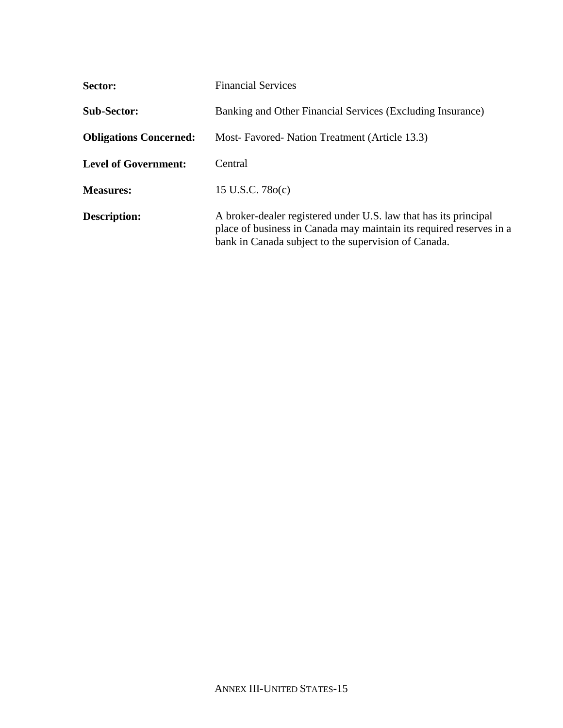| Sector:                       | <b>Financial Services</b>                                                                                                                                                                       |
|-------------------------------|-------------------------------------------------------------------------------------------------------------------------------------------------------------------------------------------------|
| <b>Sub-Sector:</b>            | Banking and Other Financial Services (Excluding Insurance)                                                                                                                                      |
| <b>Obligations Concerned:</b> | Most-Favored-Nation Treatment (Article 13.3)                                                                                                                                                    |
| <b>Level of Government:</b>   | Central                                                                                                                                                                                         |
| <b>Measures:</b>              | 15 U.S.C. 780(c)                                                                                                                                                                                |
| <b>Description:</b>           | A broker-dealer registered under U.S. law that has its principal<br>place of business in Canada may maintain its required reserves in a<br>bank in Canada subject to the supervision of Canada. |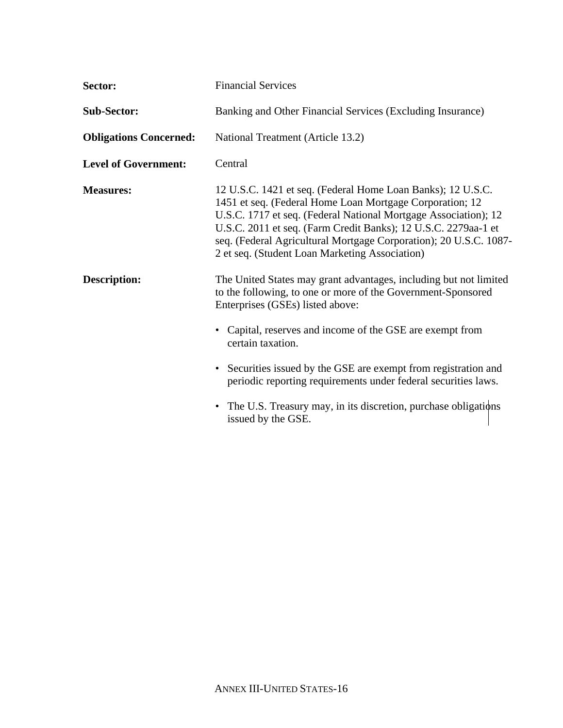| Sector:                       | <b>Financial Services</b>                                                                                                                                                                                                                                                                                                                                                           |
|-------------------------------|-------------------------------------------------------------------------------------------------------------------------------------------------------------------------------------------------------------------------------------------------------------------------------------------------------------------------------------------------------------------------------------|
| <b>Sub-Sector:</b>            | Banking and Other Financial Services (Excluding Insurance)                                                                                                                                                                                                                                                                                                                          |
| <b>Obligations Concerned:</b> | National Treatment (Article 13.2)                                                                                                                                                                                                                                                                                                                                                   |
| <b>Level of Government:</b>   | Central                                                                                                                                                                                                                                                                                                                                                                             |
| <b>Measures:</b>              | 12 U.S.C. 1421 et seq. (Federal Home Loan Banks); 12 U.S.C.<br>1451 et seq. (Federal Home Loan Mortgage Corporation; 12<br>U.S.C. 1717 et seq. (Federal National Mortgage Association); 12<br>U.S.C. 2011 et seq. (Farm Credit Banks); 12 U.S.C. 2279aa-1 et<br>seq. (Federal Agricultural Mortgage Corporation); 20 U.S.C. 1087-<br>2 et seq. (Student Loan Marketing Association) |
| <b>Description:</b>           | The United States may grant advantages, including but not limited<br>to the following, to one or more of the Government-Sponsored<br>Enterprises (GSEs) listed above:<br>• Capital, reserves and income of the GSE are exempt from<br>certain taxation.                                                                                                                             |
|                               | • Securities issued by the GSE are exempt from registration and<br>periodic reporting requirements under federal securities laws.                                                                                                                                                                                                                                                   |
|                               | • The U.S. Treasury may, in its discretion, purchase obligations<br>issued by the GSE.                                                                                                                                                                                                                                                                                              |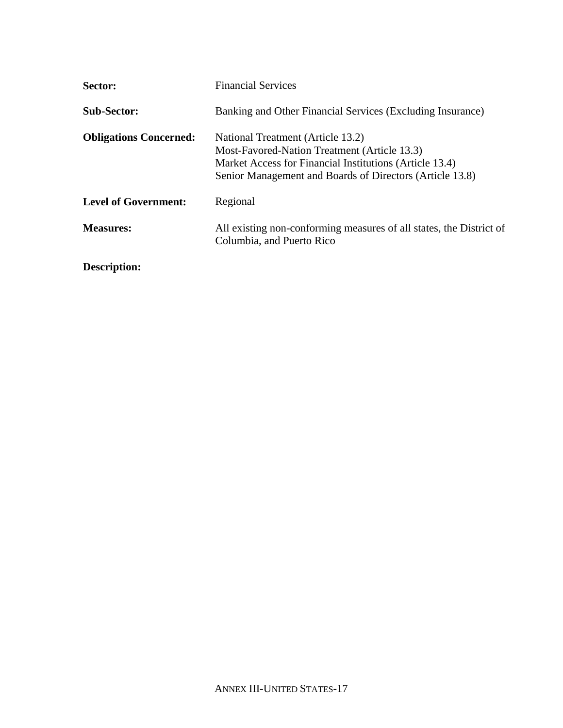| Sector:                       | <b>Financial Services</b>                                                                                                                                                                                |
|-------------------------------|----------------------------------------------------------------------------------------------------------------------------------------------------------------------------------------------------------|
| <b>Sub-Sector:</b>            | Banking and Other Financial Services (Excluding Insurance)                                                                                                                                               |
| <b>Obligations Concerned:</b> | National Treatment (Article 13.2)<br>Most-Favored-Nation Treatment (Article 13.3)<br>Market Access for Financial Institutions (Article 13.4)<br>Senior Management and Boards of Directors (Article 13.8) |
| <b>Level of Government:</b>   | Regional                                                                                                                                                                                                 |
| <b>Measures:</b>              | All existing non-conforming measures of all states, the District of<br>Columbia, and Puerto Rico                                                                                                         |
| Description:                  |                                                                                                                                                                                                          |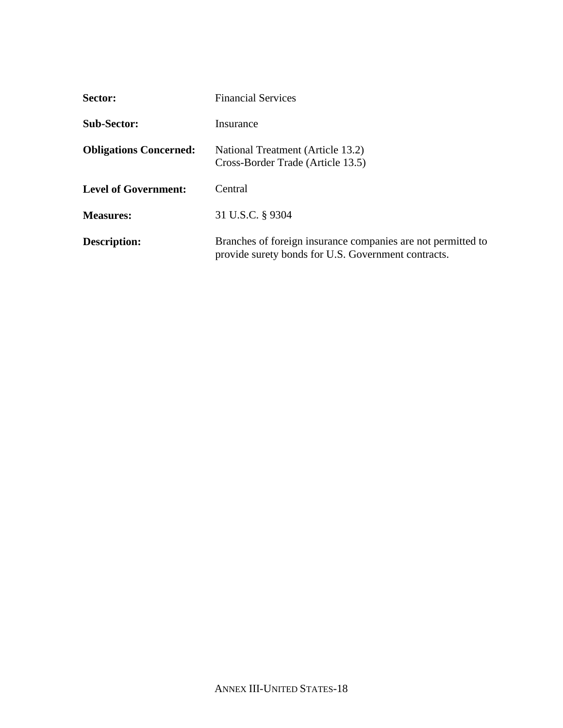| Sector:                       | <b>Financial Services</b>                                                                                           |
|-------------------------------|---------------------------------------------------------------------------------------------------------------------|
| <b>Sub-Sector:</b>            | Insurance                                                                                                           |
| <b>Obligations Concerned:</b> | National Treatment (Article 13.2)<br>Cross-Border Trade (Article 13.5)                                              |
| <b>Level of Government:</b>   | Central                                                                                                             |
| <b>Measures:</b>              | 31 U.S.C. § 9304                                                                                                    |
| <b>Description:</b>           | Branches of foreign insurance companies are not permitted to<br>provide surety bonds for U.S. Government contracts. |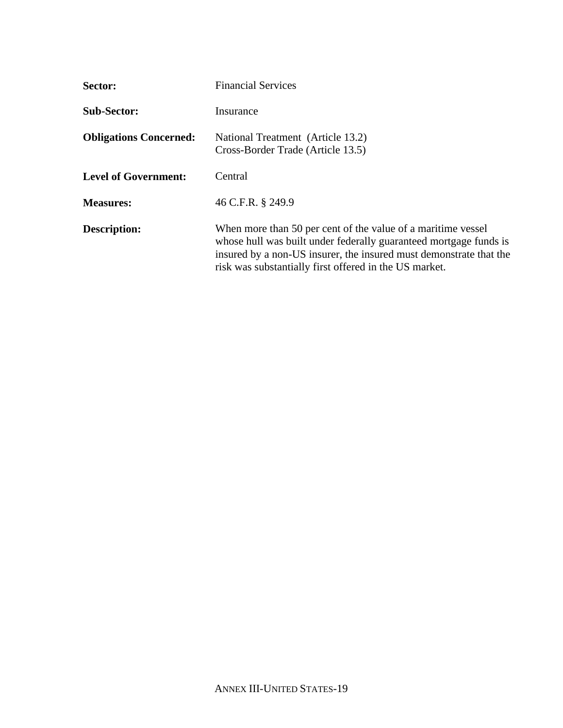| Sector:                       | <b>Financial Services</b>                                                                                                                                                                                                                                         |
|-------------------------------|-------------------------------------------------------------------------------------------------------------------------------------------------------------------------------------------------------------------------------------------------------------------|
| <b>Sub-Sector:</b>            | Insurance                                                                                                                                                                                                                                                         |
| <b>Obligations Concerned:</b> | National Treatment (Article 13.2)<br>Cross-Border Trade (Article 13.5)                                                                                                                                                                                            |
| <b>Level of Government:</b>   | Central                                                                                                                                                                                                                                                           |
| <b>Measures:</b>              | 46 C.F.R. § 249.9                                                                                                                                                                                                                                                 |
| Description:                  | When more than 50 per cent of the value of a maritime vessel<br>whose hull was built under federally guaranteed mortgage funds is<br>insured by a non-US insurer, the insured must demonstrate that the<br>risk was substantially first offered in the US market. |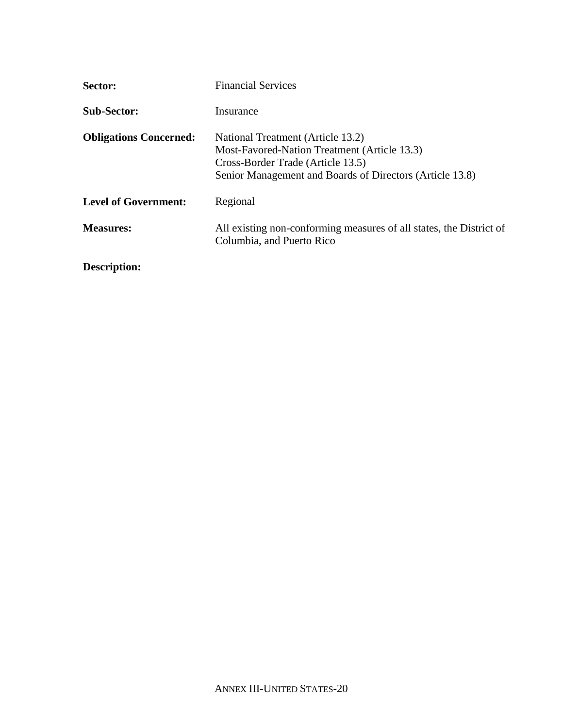| Sector:                       | <b>Financial Services</b>                                                                                                                                                          |
|-------------------------------|------------------------------------------------------------------------------------------------------------------------------------------------------------------------------------|
| <b>Sub-Sector:</b>            | Insurance                                                                                                                                                                          |
| <b>Obligations Concerned:</b> | National Treatment (Article 13.2)<br>Most-Favored-Nation Treatment (Article 13.3)<br>Cross-Border Trade (Article 13.5)<br>Senior Management and Boards of Directors (Article 13.8) |
| <b>Level of Government:</b>   | Regional                                                                                                                                                                           |
| <b>Measures:</b>              | All existing non-conforming measures of all states, the District of<br>Columbia, and Puerto Rico                                                                                   |
| Description:                  |                                                                                                                                                                                    |